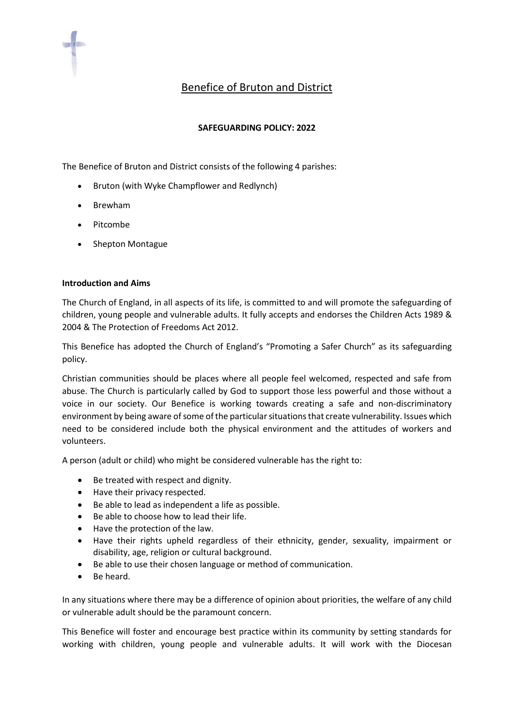

# **SAFEGUARDING POLICY: 2022**

The Benefice of Bruton and District consists of the following 4 parishes:

- Bruton (with Wyke Champflower and Redlynch)
- Brewham
- Pitcombe
- Shepton Montague

### **Introduction and Aims**

The Church of England, in all aspects of its life, is committed to and will promote the safeguarding of children, young people and vulnerable adults. It fully accepts and endorses the Children Acts 1989 & 2004 & The Protection of Freedoms Act 2012.

This Benefice has adopted the Church of England's "Promoting a Safer Church" as its safeguarding policy.

Christian communities should be places where all people feel welcomed, respected and safe from abuse. The Church is particularly called by God to support those less powerful and those without a voice in our society. Our Benefice is working towards creating a safe and non-discriminatory environment by being aware of some of the particular situations that create vulnerability. Issues which need to be considered include both the physical environment and the attitudes of workers and volunteers.

A person (adult or child) who might be considered vulnerable has the right to:

- Be treated with respect and dignity.
- Have their privacy respected.
- Be able to lead as independent a life as possible.
- Be able to choose how to lead their life.
- Have the protection of the law.
- Have their rights upheld regardless of their ethnicity, gender, sexuality, impairment or disability, age, religion or cultural background.
- Be able to use their chosen language or method of communication.
- Be heard.

In any situations where there may be a difference of opinion about priorities, the welfare of any child or vulnerable adult should be the paramount concern.

This Benefice will foster and encourage best practice within its community by setting standards for working with children, young people and vulnerable adults. It will work with the Diocesan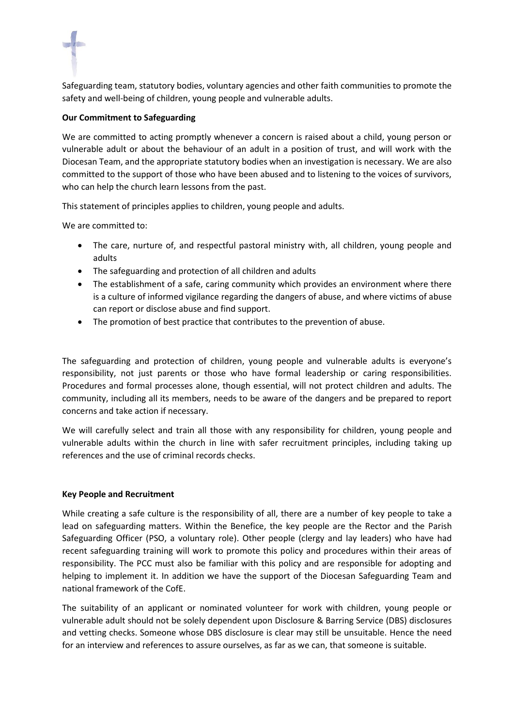Safeguarding team, statutory bodies, voluntary agencies and other faith communities to promote the safety and well-being of children, young people and vulnerable adults.

## **Our Commitment to Safeguarding**

We are committed to acting promptly whenever a concern is raised about a child, young person or vulnerable adult or about the behaviour of an adult in a position of trust, and will work with the Diocesan Team, and the appropriate statutory bodies when an investigation is necessary. We are also committed to the support of those who have been abused and to listening to the voices of survivors, who can help the church learn lessons from the past.

This statement of principles applies to children, young people and adults.

We are committed to:

- The care, nurture of, and respectful pastoral ministry with, all children, young people and adults
- The safeguarding and protection of all children and adults
- The establishment of a safe, caring community which provides an environment where there is a culture of informed vigilance regarding the dangers of abuse, and where victims of abuse can report or disclose abuse and find support.
- The promotion of best practice that contributes to the prevention of abuse.

The safeguarding and protection of children, young people and vulnerable adults is everyone's responsibility, not just parents or those who have formal leadership or caring responsibilities. Procedures and formal processes alone, though essential, will not protect children and adults. The community, including all its members, needs to be aware of the dangers and be prepared to report concerns and take action if necessary.

We will carefully select and train all those with any responsibility for children, young people and vulnerable adults within the church in line with safer recruitment principles, including taking up references and the use of criminal records checks.

### **Key People and Recruitment**

While creating a safe culture is the responsibility of all, there are a number of key people to take a lead on safeguarding matters. Within the Benefice, the key people are the Rector and the Parish Safeguarding Officer (PSO, a voluntary role). Other people (clergy and lay leaders) who have had recent safeguarding training will work to promote this policy and procedures within their areas of responsibility. The PCC must also be familiar with this policy and are responsible for adopting and helping to implement it. In addition we have the support of the Diocesan Safeguarding Team and national framework of the CofE.

The suitability of an applicant or nominated volunteer for work with children, young people or vulnerable adult should not be solely dependent upon Disclosure & Barring Service (DBS) disclosures and vetting checks. Someone whose DBS disclosure is clear may still be unsuitable. Hence the need for an interview and references to assure ourselves, as far as we can, that someone is suitable.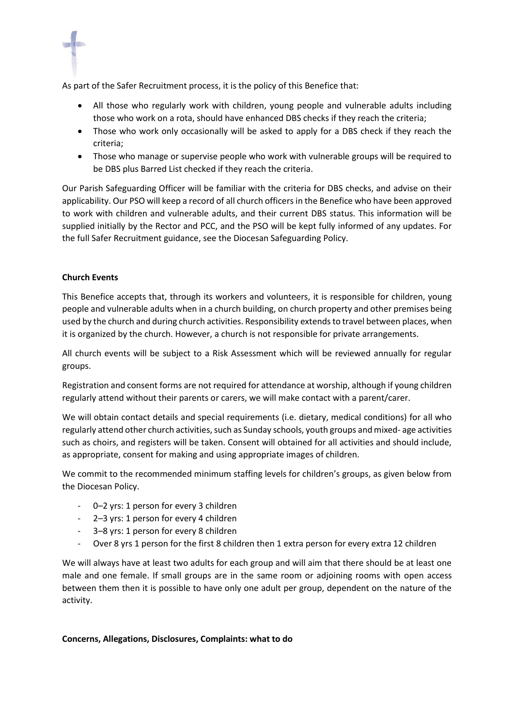As part of the Safer Recruitment process, it is the policy of this Benefice that:

- All those who regularly work with children, young people and vulnerable adults including those who work on a rota, should have enhanced DBS checks if they reach the criteria;
- Those who work only occasionally will be asked to apply for a DBS check if they reach the criteria;
- Those who manage or supervise people who work with vulnerable groups will be required to be DBS plus Barred List checked if they reach the criteria.

Our Parish Safeguarding Officer will be familiar with the criteria for DBS checks, and advise on their applicability. Our PSO will keep a record of all church officers in the Benefice who have been approved to work with children and vulnerable adults, and their current DBS status. This information will be supplied initially by the Rector and PCC, and the PSO will be kept fully informed of any updates. For the full Safer Recruitment guidance, see the Diocesan Safeguarding Policy.

## **Church Events**

This Benefice accepts that, through its workers and volunteers, it is responsible for children, young people and vulnerable adults when in a church building, on church property and other premises being used by the church and during church activities. Responsibility extends to travel between places, when it is organized by the church. However, a church is not responsible for private arrangements.

All church events will be subject to a Risk Assessment which will be reviewed annually for regular groups.

Registration and consent forms are not required for attendance at worship, although if young children regularly attend without their parents or carers, we will make contact with a parent/carer.

We will obtain contact details and special requirements (i.e. dietary, medical conditions) for all who regularly attend other church activities, such as Sunday schools, youth groups and mixed- age activities such as choirs, and registers will be taken. Consent will obtained for all activities and should include, as appropriate, consent for making and using appropriate images of children.

We commit to the recommended minimum staffing levels for children's groups, as given below from the Diocesan Policy.

- 0–2 yrs: 1 person for every 3 children
- 2–3 yrs: 1 person for every 4 children
- 3–8 yrs: 1 person for every 8 children
- Over 8 yrs 1 person for the first 8 children then 1 extra person for every extra 12 children

We will always have at least two adults for each group and will aim that there should be at least one male and one female. If small groups are in the same room or adjoining rooms with open access between them then it is possible to have only one adult per group, dependent on the nature of the activity.

#### **Concerns, Allegations, Disclosures, Complaints: what to do**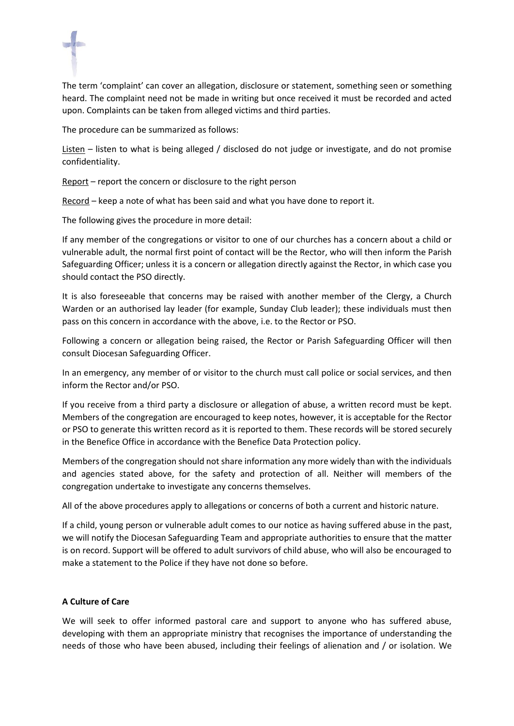The term 'complaint' can cover an allegation, disclosure or statement, something seen or something heard. The complaint need not be made in writing but once received it must be recorded and acted upon. Complaints can be taken from alleged victims and third parties.

The procedure can be summarized as follows:

Listen – listen to what is being alleged / disclosed do not judge or investigate, and do not promise confidentiality.

Report – report the concern or disclosure to the right person

Record – keep a note of what has been said and what you have done to report it.

The following gives the procedure in more detail:

If any member of the congregations or visitor to one of our churches has a concern about a child or vulnerable adult, the normal first point of contact will be the Rector, who will then inform the Parish Safeguarding Officer; unless it is a concern or allegation directly against the Rector, in which case you should contact the PSO directly.

It is also foreseeable that concerns may be raised with another member of the Clergy, a Church Warden or an authorised lay leader (for example, Sunday Club leader); these individuals must then pass on this concern in accordance with the above, i.e. to the Rector or PSO.

Following a concern or allegation being raised, the Rector or Parish Safeguarding Officer will then consult Diocesan Safeguarding Officer.

In an emergency, any member of or visitor to the church must call police or social services, and then inform the Rector and/or PSO.

If you receive from a third party a disclosure or allegation of abuse, a written record must be kept. Members of the congregation are encouraged to keep notes, however, it is acceptable for the Rector or PSO to generate this written record as it is reported to them. These records will be stored securely in the Benefice Office in accordance with the Benefice Data Protection policy.

Members of the congregation should not share information any more widely than with the individuals and agencies stated above, for the safety and protection of all. Neither will members of the congregation undertake to investigate any concerns themselves.

All of the above procedures apply to allegations or concerns of both a current and historic nature.

If a child, young person or vulnerable adult comes to our notice as having suffered abuse in the past, we will notify the Diocesan Safeguarding Team and appropriate authorities to ensure that the matter is on record. Support will be offered to adult survivors of child abuse, who will also be encouraged to make a statement to the Police if they have not done so before.

# **A Culture of Care**

We will seek to offer informed pastoral care and support to anyone who has suffered abuse, developing with them an appropriate ministry that recognises the importance of understanding the needs of those who have been abused, including their feelings of alienation and / or isolation. We